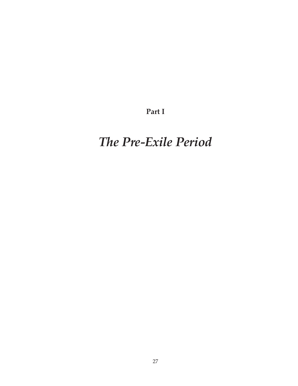**Part I**

# *The Pre-Exile Period*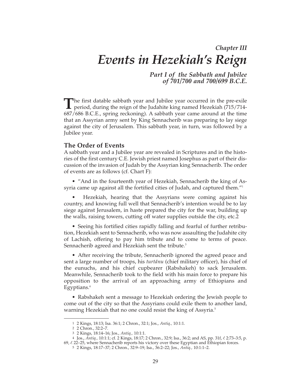# *Chapter III Events in Hezekiah's Reign*

*Part I of the Sabbath and Jubilee of 701/700 and 700/699 B.C.E.*

The first datable sabbath year and Jubilee year occurred in the pre-exile period, during the rejon of the Indebited in period, during the reign of the Judahite king named Hezekiah (715/714- 687/686 B.C.E., spring reckoning). A sabbath year came around at the time that an Assyrian army sent by King Sennacherib was preparing to lay siege against the city of Jerusalem. This sabbath year, in turn, was followed by a Jubilee year.

#### **The Order of Events**

A sabbath year and a Jubilee year are revealed in Scriptures and in the histories of the first century C.E. Jewish priest named Josephus as part of their discussion of the invasion of Judah by the Assyrian king Sennacherib. The order of events are as follows (cf. Chart F):

• "And in the fourteenth year of Hezekiah, Sennacherib the king of Assyria came up against all the fortified cities of Judah, and captured them."<sup>1</sup>

• Hezekiah, hearing that the Assyrians were coming against his country, and knowing full well that Sennacherib's intention would be to lay siege against Jerusalem, in haste prepared the city for the war, building up the walls, raising towers, cutting off water supplies outside the city, etc.2

• Seeing his fortified cities rapidly falling and fearful of further retribution, Hezekiah sent to Sennacherib, who was now assaulting the Judahite city of Lachish, offering to pay him tribute and to come to terms of peace. Sennacherib agreed and Hezekiah sent the tribute.<sup>3</sup>

• After receiving the tribute, Sennacherib ignored the agreed peace and sent a large number of troops, his *turtanu* (chief military officer), his chief of the eunuchs, and his chief cupbearer (Rabshakeh) to sack Jerusalem. Meanwhile, Sennacherib took to the field with his main force to prepare his opposition to the arrival of an approaching army of Ethiopians and Egyptians.4

• Rabshakeh sent a message to Hezekiah ordering the Jewish people to come out of the city so that the Assyrians could exile them to another land, warning Hezekiah that no one could resist the king of Assyria.<sup>5</sup>

<sup>1 2</sup> Kings, 18:13; Isa. 36:1; 2 Chron., 32:1; Jos., *Antiq.,* 10:1:1.

<sup>2 2</sup> Chron., 32:2–7.

<sup>3 2</sup> Kings, 18:14–16; Jos., *Antiq.,* 10:1:1.

<sup>4</sup> Jos., *Antiq.,* 10:1:1; cf. 2 Kings, 18:17; 2 Chron., 32:9; Isa., 36:2; and AS, pp. 31f, l. 2:73–3:5, p. 69,  $\ell$ . 22–25, where Sennacherib reports his victory over these Egyptian and Ethiopian forces.

<sup>5 2</sup> Kings, 18:17–37; 2 Chron., 32:9–19; Isa., 36:2–22; Jos., *Antiq.,* 10:1:1–2.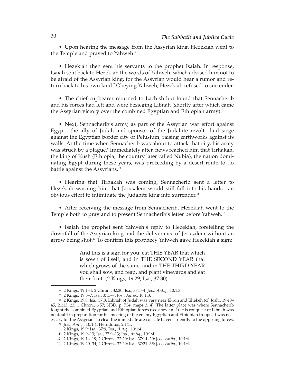• Upon hearing the message from the Assyrian king, Hezekiah went to the Temple and prayed to Yahweh.<sup>6</sup>

• Hezekiah then sent his servants to the prophet Isaiah. In response, Isaiah sent back to Hezekiah the words of Yahweh, which advised him not to be afraid of the Assyrian king, for the Assyrian would hear a rumor and return back to his own land.<sup>7</sup> Obeying Yahweh, Hezekiah refused to surrender.

• The chief cupbearer returned to Lachish but found that Sennacherib and his forces had left and were besieging Libnah (shortly after which came the Assyrian victory over the combined Egyptian and Ethiopian army).<sup>8</sup>

• Next, Sennacherib's army, as part of the Assyrian war effort against Egypt—the ally of Judah and sponsor of the Judahite revolt—laid siege against the Egyptian border city of Pelusium, raising earthworks against its walls. At the time when Sennacherib was about to attack that city, his army was struck by a plague.<sup>9</sup> Immediately after, news reached him that Tirhakah, the king of Kush (Ethiopia, the country later called Nubia), the nation dominating Egypt during these years, was proceeding by a desert route to do battle against the Assyrians.<sup>10</sup>

• Hearing that Tirhakah was coming, Sennacherib sent a letter to Hezekiah warning him that Jerusalem would still fall into his hands—an obvious effort to intimidate the Judahite king into surrender.<sup>11</sup>

• After receiving the message from Sennacherib, Hezekiah went to the Temple both to pray and to present Sennacherib's letter before Yahweh.<sup>12</sup>

• Isaiah the prophet sent Yahweh's reply to Hezekiah, foretelling the downfall of the Assyrian king and the deliverance of Jerusalem without an arrow being shot.13 To confirm this prophecy Yahweh gave Hezekiah a sign:

> And this is a sign for you: eat THIS YEAR that which is sown of itself, and in THE SECOND YEAR that which grows of the same, and in THE THIRD YEAR you shall sow, and reap, and plant vineyards and eat their fruit. (2 Kings, 19:29; Isa., 37:30)

<sup>6 2</sup> Kings, 19:1–4; 2 Chron., 32:20; Isa., 37:1–4; Jos., *Antiq.,* 10:1:3.

<sup>7 2</sup> Kings, 19:5–7; Isa., 37:5–7; Jos., *Antiq.,* 10:1:3.

<sup>8 2</sup> Kings, 19:8; Isa., 37:8. Libnah of Judah was very near Ekron and Eltekeh (cf. Josh., 19:40– 45, 21:13, 23; 1 Chron., 6:57; NBD, p. 734, maps 3, 4). The latter place was where Sennacherib fought the combined Egyptian and Ethiopian forces (see above n. 4). His conquest of Libnah was no doubt in preparation for his meeting of the enemy Egyptian and Ethiopian troops. It was necessary for the Assyrians to clear the immediate area of safe havens friendly to the opposing forces.

<sup>9</sup> Jos., *Antiq.,* 10:1:4; Herodotus, 2:141.

<sup>10 2</sup> Kings, 19:9; Isa., 37:9; Jos., *Antiq.,* 10:1:4.

<sup>11 2</sup> Kings, 19:9–13; Isa., 37:9–13; Jos., *Antiq.,* 10:1:4.

<sup>12 2</sup> Kings, 19:14–19; 2 Chron., 32:20; Isa., 37:14–20; Jos., *Antiq.,* 10:1:4.

<sup>13 2</sup> Kings, 19:20–34; 2 Chron., 32:20; Isa., 37:21–35; Jos., *Antiq.,* 10:1:4.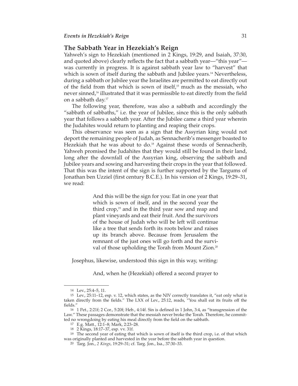# **The Sabbath Year in Hezekiah's Reign**

Yahweh's sign to Hezekiah (mentioned in 2 Kings, 19:29, and Isaiah, 37:30, and quoted above) clearly reflects the fact that a sabbath year—"this year" was currently in progress. It is against sabbath year law to "harvest" that which is sown of itself during the sabbath and Jubilee years.<sup>14</sup> Nevertheless, during a sabbath or Jubilee year the Israelites are permitted to eat directly out of the field from that which is sown of itself, $15$  much as the messiah, who never sinned,<sup>16</sup> illustrated that it was permissible to eat directly from the field on a sabbath day.17

The following year, therefore, was also a sabbath and accordingly the "sabbath of sabbaths," i.e. the year of Jubilee, since this is the only sabbath year that follows a sabbath year. After the Jubilee came a third year wherein the Judahites would return to planting and reaping their crops.

This observance was seen as a sign that the Assyrian king would not deport the remaining people of Judah, as Sennacherib's messenger boasted to Hezekiah that he was about to do.<sup>18</sup> Against these words of Sennacherib, Yahweh promised the Judahites that they would still be found in their land, long after the downfall of the Assyrian king, observing the sabbath and Jubilee years and sowing and harvesting their crops in the year that followed. That this was the intent of the sign is further supported by the Targums of Jonathan ben Uzziel (first century B.C.E.). In his version of 2 Kings, 19:29–31, we read:

> And this will be the sign for you: Eat in one year that which is sown of itself, and in the second year the third crop, $19$  and in the third year sow and reap and plant vineyards and eat their fruit. And the survivors of the house of Judah who will be left will continue like a tree that sends forth its roots below and raises up its branch above. Because from Jerusalem the remnant of the just ones will go forth and the survival of those upholding the Torah from Mount Zion.<sup>20</sup>

Josephus, likewise, understood this sign in this way, writing:

And, when he (Hezekiah) offered a second prayer to

<sup>14</sup> Lev., 25:4–5, 11.

<sup>15</sup> Lev., 25:11–12, esp. v. 12, which states, as the NIV correctly translates it, "eat only what is taken directly from the fields." The LXX of Lev., 25:12, reads, "You shall eat its fruits off the fields."

<sup>16 1</sup> Pet., 2:21f; 2 Cor., 5:20f; Heb., 4:14f. Sin is defined in 1 John, 3:4, as "transgression of the Law." These passages demonstrate that the messiah never broke the Torah. Therefore, he committed no wrongdoing by eating his meal directly from the field on the sabbath.

<sup>17</sup> E.g. Matt., 12:1–8; Mark, 2:23–28.

<sup>18 2</sup> Kings, 18:17–37, esp. vv. 31f.

<sup>19</sup> The second year of eating that which is sown of itself is the third crop, i.e. of that which was originally planted and harvested in the year before the sabbath year in question.

<sup>20</sup> Targ. Jon., *2 Kings*, 19:29–31; cf. Targ. Jon., Isa., 37:30–33.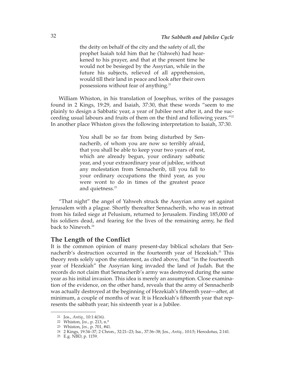the deity on behalf of the city and the safety of all, the prophet Isaiah told him that he (Yahweh) had hearkened to his prayer, and that at the present time he would not be besieged by the Assyrian, while in the future his subjects, relieved of all apprehension, would till their land in peace and look after their own possessions without fear of anything.<sup>21</sup>

William Whiston, in his translation of Josephus, writes of the passages found in 2 Kings, 19:29, and Isaiah, 37:30, that these words "seem to me plainly to design a Sabbatic year, a year of Jubilee next after it, and the succeeding usual labours and fruits of them on the third and following years."<sup>22</sup> In another place Whiston gives the following interpretation to Isaiah, 37:30.

> You shall be so far from being disturbed by Sennacherib, of whom you are now so terribly afraid, that you shall be able to keep your two years of rest, which are already begun, your ordinary sabbatic year, and your extraordinary year of jubilee, without any molestation from Sennacherib, till you fall to your ordinary occupations the third year, as you were wont to do in times of the greatest peace and quietness.<sup>23</sup>

"That night" the angel of Yahweh struck the Assyrian army set against Jerusalem with a plague. Shortly thereafter Sennacherib, who was in retreat from his failed siege at Pelusium, returned to Jerusalem. Finding 185,000 of his soldiers dead, and fearing for the lives of the remaining army, he fled back to Nineveh.<sup>24</sup>

# **The Length of the Conflict**

It is the common opinion of many present-day biblical scholars that Sennacherib's destruction occurred in the fourteenth year of Hezekiah.<sup>25</sup> This theory rests solely upon the statement, as cited above, that "in the fourteenth year of Hezekiah" the Assyrian king invaded the land of Judah. But the records do not claim that Sennacherib's army was destroyed during the same year as his initial invasion. This idea is merely an assumption. Close examination of the evidence, on the other hand, reveals that the army of Sennacherib was actually destroyed at the beginning of Hezekiah's fifteenth year—after, at minimum, a couple of months of war. It is Hezekiah's fifteenth year that represents the sabbath year; his sixteenth year is a Jubilee.

<sup>21</sup> Jos., *Antiq.,* 10:1:4(16).

<sup>22</sup> Whiston, *Jos.,* p. 213, n.\*

<sup>23</sup> Whiston, *Jos.,* p. 701, #41.

<sup>24 2</sup> Kings, 19:34–37; 2 Chron., 32:21–23; Isa., 37:36–38; Jos., *Antiq.,* 10:l:5; Herodotus, 2:141.

<sup>25</sup> E.g. NBD, p. 1159.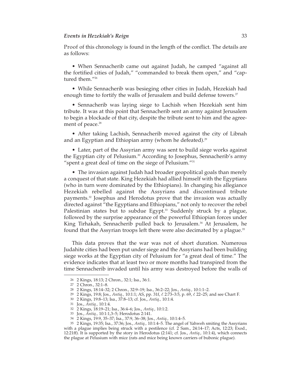#### *Events in Hezekiah's Reign* 33

Proof of this chronology is found in the length of the conflict. The details are as follows:

• When Sennacherib came out against Judah, he camped "against all the fortified cities of Judah," "commanded to break them open," and "captured them."26

• While Sennacherib was besieging other cities in Judah, Hezekiah had enough time to fortify the walls of Jerusalem and build defense towers.<sup>27</sup>

• Sennacherib was laying siege to Lachish when Hezekiah sent him tribute. It was at this point that Sennacherib sent an army against Jerusalem to begin a blockade of that city, despite the tribute sent to him and the agreement of peace.<sup>28</sup>

• After taking Lachish, Sennacherib moved against the city of Libnah and an Egyptian and Ethiopian army (whom he defeated).<sup>29</sup>

• Later, part of the Assyrian army was sent to build siege works against the Egyptian city of Pelusium.<sup>30</sup> According to Josephus, Sennacherib's army "spent a great deal of time on the siege of Pelusium."31

• The invasion against Judah had broader geopolitical goals than merely a conquest of that state. King Hezekiah had allied himself with the Egyptians (who in turn were dominated by the Ethiopians). In changing his allegiance Hezekiah rebelled against the Assyrians and discontinued tribute payments.<sup>32</sup> Josephus and Herodotus prove that the invasion was actually directed against "the Egyptians and Ethiopians," not only to recover the rebel Palestinian states but to subdue Egypt.<sup>33</sup> Suddenly struck by a plague, followed by the surprise appearance of the powerful Ethiopian forces under King Tirhakah, Sennacherib pulled back to Jerusalem.<sup>34</sup> At Jerusalem, he found that the Assyrian troops left there were also decimated by a plague.<sup>35</sup>

This data proves that the war was not of short duration. Numerous Judahite cities had been put under siege and the Assyrians had been building siege works at the Egyptian city of Pelusium for "a great deal of time." The evidence indicates that at least two or more months had transpired from the time Sennacherib invaded until his army was destroyed before the walls of

<sup>26 2</sup> Kings, 18:13; 2 Chron., 32:1; Isa., 36:1.

<sup>27 2</sup> Chron., 32:1–8.

<sup>28 2</sup> Kings, 18:14–32; 2 Chron., 32:9–19; Isa., 36:2–22; Jos., *Antiq.,* 10:1:1–2.

<sup>29 2</sup> Kings, 19:8; Jos., *Antiq.,* 10:1:1; AS, pp. 31f, l. 2:73–3:5, p. 69, l. 22–25; and see Chart F.

<sup>30 2</sup> Kings, 19:8–13; Isa., 37:8–13; cf. Jos., *Antiq.,* 10:1:4.

<sup>31</sup> Jos., *Antiq.,* 10:1:4.

<sup>32 2</sup> Kings, 18:19–21; Isa., 36:4–6; Jos., *Antiq.,* 10:1:2.

<sup>33</sup> Jos., *Antiq.,* 10:1:1,3–5; Herodotus 2:141.

<sup>34 2</sup> Kings, 19:9, 35–37; Isa., 37:9, 36–38; Jos., *Antiq.,* 10:1:4–5.

<sup>35 2</sup> Kings, 19:35; Isa., 37:36; Jos., *Antiq.,* 10:1:4–5. The angel of Yahweh smiting the Assyrians with a plague implies being struck with a pestilence (cf. 2 Sam., 24:14-17; Acts, 12:23; Exod., 12:21ff). It is supported by the story in Herodotus (2:141; cf. Jos., *Antiq.,* 10:1:4), which connects the plague at Pelusium with mice (rats and mice being known carriers of bubonic plague).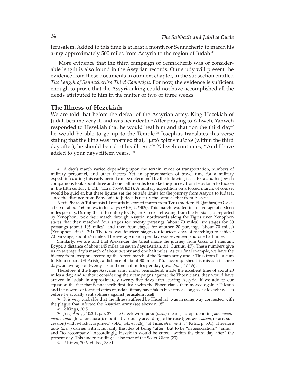Jerusalem. Added to this time is at least a month for Sennacherib to march his army approximately 500 miles from Assyria to the region of Judah.<sup>36</sup>

More evidence that the third campaign of Sennacherib was of considerable length is also found in the Assyrian records. Our study will present the evidence from these documents in our next chapter, in the subsection entitled *The Length of Sennacherib's Third Campaign*. For now, the evidence is sufficient enough to prove that the Assyrian king could not have accomplished all the deeds attributed to him in the matter of two or three weeks.

#### **The Illness of Hezekiah**

We are told that before the defeat of the Assyrian army, King Hezekiah of Judah became very ill and was near death.<sup>37</sup> After praying to Yahweh, Yahweh responded to Hezekiah that he would heal him and that "on the third day" he would be able to go up to the Temple.<sup>38</sup> Josephus translates this verse stating that the king was informed that, "μετὰ τρίτην ἡμέραν (within the third day after), he should be rid of his illness."<sup>39</sup> Yahweh continues, "And I have added to your days fifteen years."40

Similarly, we are told that Alexander the Great made the journey from Gaza to Pelusium, Egypt, a distance of about 145 miles, in seven days (Arrian, 3:1; Curtius, 4:7). These numbers give us an average day's march of about twenty and one half miles. As our final example, we have the history from Josephus recording the forced march of the Roman army under Titus from Pelusium to Rhinocorura (El-Arish), a distance of about 80 miles. Titus accomplished his mission in three days, an average of twenty-six and one half miles per day (Jos., *Wars*, 4:11:5).

Therefore, if the huge Assyrian army under Sennacherib made the excellent time of about 20 miles a day, and without considering their campaigns against the Phoenicians, they would have arrived in Judah in approximately twenty-five days after leaving Assyria. If we add to our equation the fact that Sennacherib first dealt with the Phoenicians, then moved against Palestia and the dozens of fortified cities of Judah, it may have taken his army as long as six to eight weeks before he actually sent soldiers against Jerusalem itself.

37 It is very probable that the illness suffered by Hezekiah was in some way connected with the plague that infected the Assyrian army (see above n. 35).

38 2 Kings, 20:5.

39 Jos., *Antiq.,* 10:2:1, par. 27. The Greek word μετὰ (*meta*) means, "prop. denoting *accompaniment*; '*amid*' (local or causal); modified variously according to the case (gen. *association*, or acc. succession) with which it is joined" (SEC, Gk. #3326); "of Time, *after, next to*" (GEL, p. 501). Therefore μετὰ (*meta*) carries with it not only the idea of being "after" but to be "in association," "amid," and "to accompany." Accordingly, Hezekiah would be cured "within the third day after" the present day. This understanding is also that of the Seder Olam (23).

40 2 Kings, 20:6, cf. Isa., 38:5f.

<sup>36</sup> A day's march varied depending upon the terrain, mode of transportation, numbers of military personnel, and other factors. Yet an approximation of travel time for a military expedition during this early period can be determined by the following facts: Ezra and his Jewish companions took about three and one half months to make the journey from Babylonia to Judaea in the fifth century B.C.E. (Ezra, 7:6–9, 8:31). A military expedition on a forced march, of course, would be quicker, but these figures set the outside limits for the journey from Assyria to Judaea, since the distance from Babylonia to Judaea is nearly the same as that from Assyria.

Next, Pharaoh Tuthmosis III records his forced march from Tzru (modern El-Qantara) to Gaza, a trip of about 160 miles, in ten days (ARE, 2, #409). This march resulted in an average of sixteen miles per day. During the fifth century B.C.E., the Greeks retreating from the Persians, as reported by Xenophon, took their march through Assyria, northwards along the Tigris river. Xenophon states that they marched four stages for twenty parsangs (about 70 miles), six stages for 30 parsangs (about 105 miles), and then four stages for another 20 parsangs (about 70 miles) (Xenophon, *Anab*., 2:4). The total was fourteen stages (or fourteen days of marching) to achieve 70 parsangs, about 245 miles. The average march per day was seventeen and one half miles.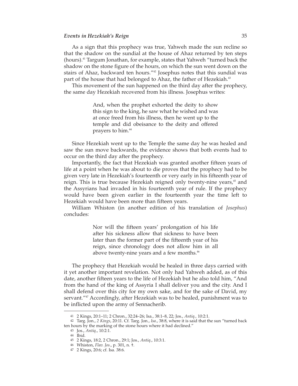#### *Events in Hezekiah's Reign* 35

As a sign that this prophecy was true, Yahweh made the sun recline so that the shadow on the sundial at the house of Ahaz returned by ten steps (hours).41 Targum Jonathan, for example, states that Yahweh "turned back the shadow on the stone figure of the hours, on which the sun went down on the stairs of Ahaz, backward ten hours."42 Josephus notes that this sundial was part of the house that had belonged to Ahaz, the father of Hezekiah.<sup>43</sup>

This movement of the sun happened on the third day after the prophecy, the same day Hezekiah recovered from his illness. Josephus writes:

> And, when the prophet exhorted the deity to show this sign to the king, he saw what he wished and was at once freed from his illness, then he went up to the temple and did obeisance to the deity and offered prayers to him.44

Since Hezekiah went up to the Temple the same day he was healed and saw the sun move backwards, the evidence shows that both events had to occur on the third day after the prophecy.

Importantly, the fact that Hezekiah was granted another fifteen years of life at a point when he was about to die proves that the prophecy had to be given very late in Hezekiah's fourteenth or very early in his fifteenth year of reign. This is true because Hezekiah reigned only twenty-nine years,<sup>45</sup> and the Assyrians had invaded in his fourteenth year of rule. If the prophecy would have been given earlier in the fourteenth year the time left to Hezekiah would have been more than fifteen years.

William Whiston (in another edition of his translation of *Josephus*) concludes:

> Nor will the fifteen years' prolongation of his life after his sickness allow that sickness to have been later than the former part of the fifteenth year of his reign, since chronology does not allow him in all above twenty-nine years and a few months.<sup>46</sup>

The prophecy that Hezekiah would be healed in three days carried with it yet another important revelation. Not only had Yahweh added, as of this date, another fifteen years to the life of Hezekiah but he also told him, "And from the hand of the king of Assyria I shall deliver you and the city. And I shall defend over this city for my own sake, and for the sake of David, my servant."<sup>47</sup> Accordingly, after Hezekiah was to be healed, punishment was to be inflicted upon the army of Sennacherib.

<sup>41 2</sup> Kings, 20:1–11; 2 Chron., 32:24–26; Isa., 38:1–8, 22; Jos., *Antiq.,* 10:2:1.

<sup>42</sup> Targ. Jon., *2 Kings*, 20:11. Cf. Targ. Jon., *Isa*., 38:8, where it is said that the sun "turned back ten hours by the marking of the stone hours where it had declined."

<sup>43</sup> Jos., *Antiq*., 10:2:1.

<sup>44</sup> Ibid.

<sup>45 2</sup> Kings, 18:2, 2 Chron., 29:1; Jos., *Antiq*., 10:3:1.

<sup>46</sup> Whiston, *Flav. Jos*., p. 301, n. †.

<sup>47 2</sup> Kings, 20:6; cf. Isa. 38:6.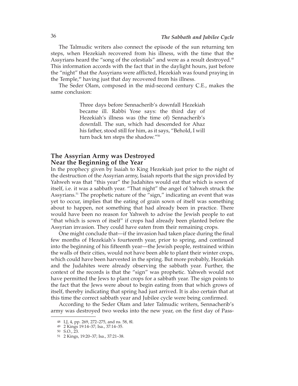The Talmudic writers also connect the episode of the sun returning ten steps, when Hezekiah recovered from his illness, with the time that the Assyrians heard the "song of the celestials" and were as a result destroyed.<sup>48</sup> This information accords with the fact that in the daylight hours, just before the "night" that the Assyrians were afflicted, Hezekiah was found praying in the Temple,<sup>49</sup> having just that day recovered from his illness.

The Seder Olam, composed in the mid-second century C.E., makes the same conclusion:

> Three days before Sennacherib's downfall Hezekiah became ill. Rabbi Yose says: the third day of Hezekiah's illness was (the time of) Sennacherib's downfall. The sun, which had descended for Ahaz his father, stood still for him, as it says, "Behold, I will turn back ten steps the shadow."50

# **The Assyrian Army was Destroyed Near the Beginning of the Year**

In the prophecy given by Isaiah to King Hezekiah just prior to the night of the destruction of the Assyrian army, Isaiah reports that the sign provided by Yahweh was that "this year" the Judahites would eat that which is sown of itself, i.e. it was a sabbath year. "That night" the angel of Yahweh struck the Assyrians.<sup>51</sup> The prophetic nature of the "sign," indicating an event that was yet to occur, implies that the eating of grain sown of itself was something about to happen, not something that had already been in practice. There would have been no reason for Yahweh to advise the Jewish people to eat "that which is sown of itself" if crops had already been planted before the Assyrian invasion. They could have eaten from their remaining crops.

One might conclude that—if the invasion had taken place during the final few months of Hezekiah's fourteenth year, prior to spring, and continued into the beginning of his fifteenth year—the Jewish people, restrained within the walls of their cities, would not have been able to plant their winter crops, which could have been harvested in the spring. But more probably, Hezekiah and the Judahites were already observing the sabbath year. Further, the context of the records is that the "sign" was prophetic. Yahweh would not have permitted the Jews to plant crops for a sabbath year. The sign points to the fact that the Jews were about to begin eating from that which grows of itself, thereby indicating that spring had just arrived. It is also certain that at this time the correct sabbath year and Jubilee cycle were being confirmed.

According to the Seder Olam and later Talmudic writers, Sennacherib's army was destroyed two weeks into the new year, on the first day of Pass-

<sup>48</sup> LJ, 4, pp. 269, 272–275, and ns. 58, 8l.

<sup>49 2</sup> Kings 19:14–37; Isa., 37:14–35.

<sup>50</sup> S.O., 23.

<sup>51 2</sup> Kings, 19:20–37; Isa., 37:21–38.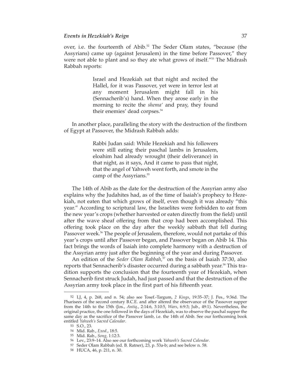#### *Events in Hezekiah's Reign* 37

over, i.e. the fourteenth of Abib. $52$  The Seder Olam states, "because (the Assyrians) came up (against Jerusalem) in the time before Passover," they were not able to plant and so they ate what grows of itself."53 The Midrash Rabbah reports:

> Israel and Hezekiah sat that night and recited the Hallel, for it was Passover, yet were in terror lest at any moment Jerusalem might fall in his (Sennacherib's) hand. When they arose early in the morning to recite the *shema'* and pray, they found their enemies' dead corpses.<sup>54</sup>

In another place, paralleling the story with the destruction of the firstborn of Egypt at Passover, the Midrash Rabbah adds:

> Rabbi Judan said: While Hezekiah and his followers were still eating their paschal lambs in Jerusalem, eloahim had already wrought (their deliverance) in that night, as it says, And it came to pass that night, that the angel of Yahweh went forth, and smote in the camp of the Assyrians.<sup>55</sup>

The 14th of Abib as the date for the destruction of the Assyrian army also explains why the Judahites had, as of the time of Isaiah's prophecy to Hezekiah, not eaten that which grows of itself, even though it was already "this year." According to scriptural law, the Israelites were forbidden to eat from the new year's crops (whether harvested or eaten directly from the field) until after the wave sheaf offering from that crop had been accomplished. This offering took place on the day after the weekly sabbath that fell during Passover week.<sup>56</sup> The people of Jerusalem, therefore, would not partake of this year's crops until after Passover began, and Passover began on Abib 14. This fact brings the words of Isaiah into complete harmony with a destruction of the Assyrian army just after the beginning of the year and during Passover.

An edition of the *Seder Olam Rabbah*,<sup>57</sup> on the basis of Isaiah 37:30, also reports that Sennacherib's disaster occurred during a sabbath year.58 This tradition supports the conclusion that the fourteenth year of Hezekiah, when Sennacherib first struck Judah, had just passed and that the destruction of the Assyrian army took place in the first part of his fifteenth year.

<sup>52</sup> LJ, 4, p. 268, and n. 54; also see Tosef.-Targum, *2 Kings*, 19:35–37; J. Pes., 9:36d. The Pharisees of the second century B.C.E. and after altered the observance of the Passover supper from the 14th to the 15th (Jos., *Antiq*., 2:14:6, 3:10:5, *Wars*, 6:9:3; Jub., 49:1). Nevertheless, the original practice, the one followed in the days of Hezekiah, was to observe the paschal supper the same day as the sacrifice of the Passover lamb, i.e. the 14th of Abib. See our forthcoming book entitled *Yahweh's Sacred Calendar*. 53 S.O., 23.

<sup>54</sup> Mid. Rab., *Exod*., 18:5.

<sup>55</sup> Mid. Rab., *Song*, 1:12:3.

<sup>56</sup> Lev., 23:9–14. Also see our forthcoming work *Yahweh's Sacred Calendar*.

<sup>57</sup> Seder Olam Rabbah (ed. B. Ratner), 23, p. 53a-b; and see below n. 58.

<sup>58</sup> HUCA, 46, p. 211, n. 30.